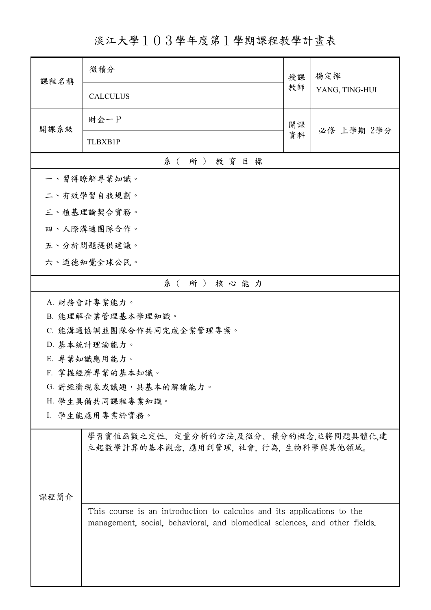淡江大學103學年度第1學期課程教學計畫表

| 課程名稱                     | 微積分                                                                                                                                                  | 授課<br>教師 | 楊定揮<br>YANG, TING-HUI |  |
|--------------------------|------------------------------------------------------------------------------------------------------------------------------------------------------|----------|-----------------------|--|
|                          | <b>CALCULUS</b>                                                                                                                                      |          |                       |  |
| 開課系級                     | 財金一P                                                                                                                                                 | 開課<br>資料 | 必修 上學期 2學分            |  |
|                          | <b>TLBXB1P</b>                                                                                                                                       |          |                       |  |
| 系(所)教育目標                 |                                                                                                                                                      |          |                       |  |
| 一、習得瞭解專業知識。              |                                                                                                                                                      |          |                       |  |
|                          | 二、有效學習自我規劃。                                                                                                                                          |          |                       |  |
|                          | 三、植基理論契合實務。                                                                                                                                          |          |                       |  |
|                          | 四、人際溝通團隊合作。                                                                                                                                          |          |                       |  |
|                          | 五、分析問題提供建議。                                                                                                                                          |          |                       |  |
|                          | 六、道德知覺全球公民。                                                                                                                                          |          |                       |  |
|                          | 系(所)核心能力                                                                                                                                             |          |                       |  |
|                          | A. 財務會計專業能力。                                                                                                                                         |          |                       |  |
|                          | B. 能理解企業管理基本學理知識。                                                                                                                                    |          |                       |  |
| C. 能溝通協調並團隊合作共同完成企業管理專案。 |                                                                                                                                                      |          |                       |  |
| D. 基本統計理論能力。             |                                                                                                                                                      |          |                       |  |
|                          | E. 專業知識應用能力。                                                                                                                                         |          |                       |  |
| F. 掌握經濟專業的基本知識。          |                                                                                                                                                      |          |                       |  |
|                          | G. 對經濟現象或議題,具基本的解讀能力。                                                                                                                                |          |                       |  |
|                          | H. 學生具備共同課程專業知識。<br>I. 學生能應用專業於實務。                                                                                                                   |          |                       |  |
|                          |                                                                                                                                                      |          |                       |  |
|                          | 學習實值函數之定性、定量分析的方法,及微分、積分的概念,並將問題具體化,建<br>立起數學計算的基本觀念,應用到管理,社會,行為,生物科學與其他領域。                                                                          |          |                       |  |
|                          |                                                                                                                                                      |          |                       |  |
| 课程简介                     |                                                                                                                                                      |          |                       |  |
|                          | This course is an introduction to calculus and its applications to the<br>management, social, behavioral, and biomedical sciences, and other fields. |          |                       |  |
|                          |                                                                                                                                                      |          |                       |  |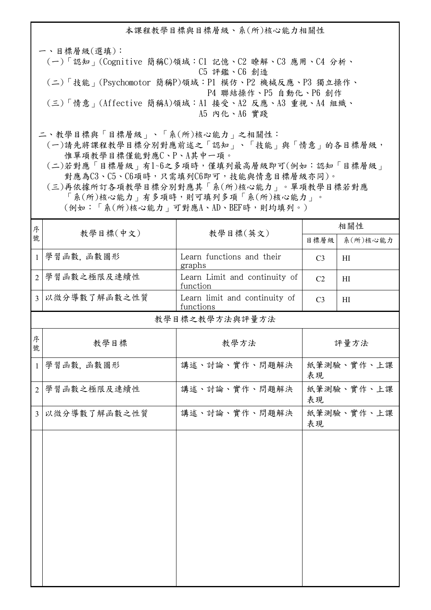本課程教學目標與目標層級、系(所)核心能力相關性

一、目標層級(選填): (一)「認知」(Cognitive 簡稱C)領域:C1 記憶、C2 瞭解、C3 應用、C4 分析、 C5 評鑑、C6 創造 (二)「技能」(Psychomotor 簡稱P)領域:P1 模仿、P2 機械反應、P3 獨立操作、 P4 聯結操作、P5 自動化、P6 創作 (三)「情意」(Affective 簡稱A)領域:A1 接受、A2 反應、A3 重視、A4 組織、 A5 內化、A6 實踐

二、教學目標與「目標層級」、「系(所)核心能力」之相關性:

 (一)請先將課程教學目標分別對應前述之「認知」、「技能」與「情意」的各目標層級, 惟單項教學目標僅能對應C、P、A其中一項。

 (二)若對應「目標層級」有1~6之多項時,僅填列最高層級即可(例如:認知「目標層級」 對應為C3、C5、C6項時,只需填列C6即可,技能與情意目標層級亦同)。

 (三)再依據所訂各項教學目標分別對應其「系(所)核心能力」。單項教學目標若對應 「系(所)核心能力」有多項時,則可填列多項「系(所)核心能力」。 (例如:「系(所)核心能力」可對應A、AD、BEF時,則均填列。)

| 序              |              |                                            | 相關性              |            |
|----------------|--------------|--------------------------------------------|------------------|------------|
| 號              | 教學目標(中文)     | 教學目標(英文)                                   |                  | 系(所)核心能力   |
| $\mathbf{1}$   | 學習函數,函數圖形    | Learn functions and their<br>graphs        | C <sub>3</sub>   | H1         |
| $\overline{2}$ | 學習函數之極限及連續性  | Learn Limit and continuity of<br>function  | C <sub>2</sub>   | HI         |
| $\overline{3}$ | 以微分導數了解函數之性質 | Learn limit and continuity of<br>functions | C <sub>3</sub>   | HI         |
|                |              | 教學目標之教學方法與評量方法                             |                  |            |
| 序<br>號         | 教學目標         | 教學方法                                       |                  | 評量方法       |
| $\mathbf{1}$   | 學習函數,函數圖形    | 講述、討論、實作、問題解決                              | 紙筆測驗、實作、上課<br>表現 |            |
| $\overline{2}$ | 學習函數之極限及連續性  | 講述、討論、實作、問題解決                              | 紙筆測驗、實作、上課<br>表現 |            |
| $\overline{3}$ | 以微分導數了解函數之性質 | 講述、討論、實作、問題解決                              | 表現               | 紙筆測驗、實作、上課 |
|                |              |                                            |                  |            |
|                |              |                                            |                  |            |
|                |              |                                            |                  |            |
|                |              |                                            |                  |            |
|                |              |                                            |                  |            |
|                |              |                                            |                  |            |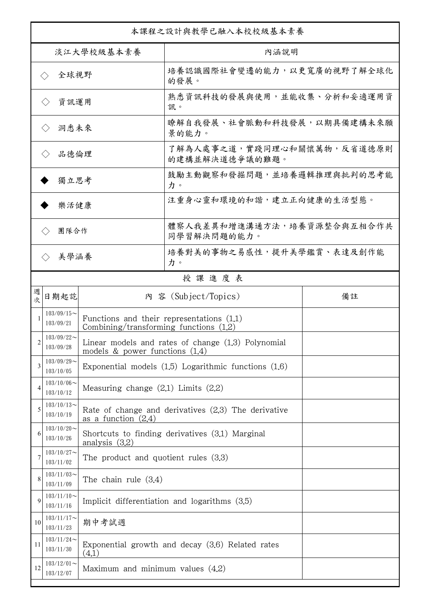| 本課程之設計與教學已融入本校校級基本素養        |                               |                                                                                         |                                                          |    |  |
|-----------------------------|-------------------------------|-----------------------------------------------------------------------------------------|----------------------------------------------------------|----|--|
| 淡江大學校級基本素養                  |                               |                                                                                         | 內涵說明                                                     |    |  |
| 全球視野<br>$\langle \ \rangle$ |                               |                                                                                         | 培養認識國際社會變遷的能力,以更寬廣的視野了解全球化<br>的發展。                       |    |  |
|                             | 資訊運用<br>$\langle \ \rangle$   |                                                                                         | 熟悉資訊科技的發展與使用,並能收集、分析和妥適運用資<br>訊。                         |    |  |
|                             | 洞悉未來<br>$\langle \ \rangle$   |                                                                                         | 瞭解自我發展、社會脈動和科技發展,以期具備建構未來願<br>景的能力。                      |    |  |
| 品德倫理                        |                               |                                                                                         | 了解為人處事之道,實踐同理心和關懷萬物,反省道德原則<br>的建構並解決道德爭議的難題。             |    |  |
| 獨立思考                        |                               |                                                                                         | 鼓勵主動觀察和發掘問題,並培養邏輯推理與批判的思考能<br>力。                         |    |  |
|                             | 樂活健康                          |                                                                                         | 注重身心靈和環境的和諧,建立正向健康的生活型態。                                 |    |  |
|                             | 團隊合作                          |                                                                                         | 體察人我差異和增進溝通方法,培養資源整合與互相合作共<br>同學習解決問題的能力。                |    |  |
|                             | 美學涵養<br>$\langle \rangle$     |                                                                                         | 培養對美的事物之易感性,提升美學鑑賞、表達及創作能<br>力。                          |    |  |
|                             |                               |                                                                                         | 授課進度表                                                    |    |  |
| 週<br>欤                      | 日期起訖                          |                                                                                         | 内 容 (Subject/Topics)                                     | 備註 |  |
|                             | $103/09/15$ ~<br>103/09/21    | Functions and their representations $(1.1)$<br>Combining/transforming functions $(1.2)$ |                                                          |    |  |
| $\mathfrak{D}$              | $103/09/22$ ~<br>103/09/28    | models $\&$ power functions $(1.4)$                                                     | Linear models and rates of change $(1.3)$ Polynomial     |    |  |
| 3                           | $103/09/29$ ~<br>103/10/05    |                                                                                         | Exponential models $(1.5)$ Logarithmic functions $(1.6)$ |    |  |
| 4                           | $103/10/06 \sim$<br>103/10/12 | Measuring change $(2,1)$ Limits $(2,2)$                                                 |                                                          |    |  |
| 5                           | $103/10/13$ ~<br>103/10/19    | as a function $(2.4)$                                                                   | Rate of change and derivatives $(2.3)$ The derivative    |    |  |
| 6                           | $103/10/20$ ~<br>103/10/26    | analysis $(3.2)$                                                                        | Shortcuts to finding derivatives (3.1) Marginal          |    |  |
|                             | $103/10/27$ ~<br>103/11/02    | The product and quotient rules $(3.3)$                                                  |                                                          |    |  |
| 8                           | $103/11/03$ ~<br>103/11/09    | The chain rule $(3.4)$                                                                  |                                                          |    |  |
| 9                           | $103/11/10$ ~<br>103/11/16    |                                                                                         | Implicit differentiation and logarithms $(3.5)$          |    |  |
| 10                          | $103/11/17$ ~<br>103/11/23    | 期中考試週                                                                                   |                                                          |    |  |
| 11                          | $103/11/24$ ~<br>103/11/30    | (4.1)                                                                                   | Exponential growth and decay (3.6) Related rates         |    |  |
| 12                          | $103/12/01$ ~<br>103/12/07    | Maximum and minimum values $(4.2)$                                                      |                                                          |    |  |